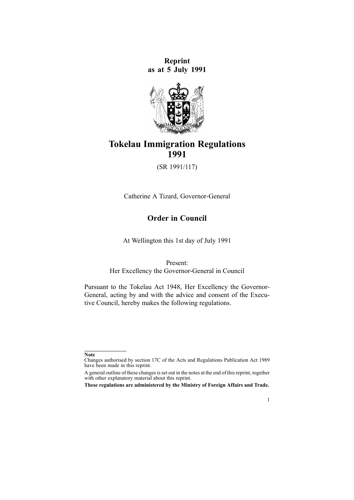**Reprint as at 5 July 1991**



# **Tokelau Immigration Regulations 1991**

(SR 1991/117)

Catherine A Tizard, Governor-General

# **Order in Council**

At Wellington this 1st day of July 1991

Present:

Her Excellency the Governor-General in Council

Pursuant to the [Tokelau](http://www.legislation.govt.nz/pdflink.aspx?id=DLM247576) Act 1948, Her Excellency the Governor-General, acting by and with the advice and consent of the Executive Council, hereby makes the following regulations.

1

**Note**

Changes authorised by [section](http://www.legislation.govt.nz/pdflink.aspx?id=DLM195466) 17C of the Acts and Regulations Publication Act 1989 have been made in this reprint.

A general outline of these changes is set out in the notes at the end of this reprint, together with other explanatory material about this reprint.

**These regulations are administered by the Ministry of Foreign Affairs and Trade.**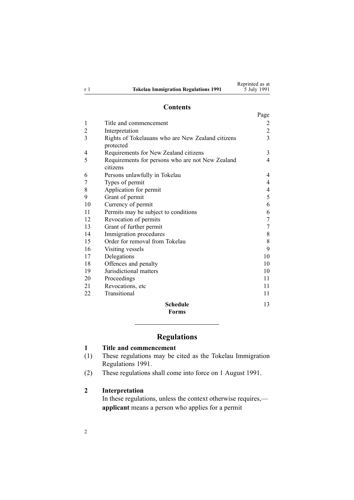|                |                                             | Reprinted as at |
|----------------|---------------------------------------------|-----------------|
| r <sup>1</sup> | <b>Tokelau Immigration Regulations 1991</b> | 5 July 1991     |

### **Contents**

|                |                                                              | Page         |
|----------------|--------------------------------------------------------------|--------------|
| 1              | Title and commencement                                       | 2            |
| $\overline{2}$ | Interpretation                                               | $\mathbf{2}$ |
| 3              | Rights of Tokelauans who are New Zealand citizens            | 3            |
|                | protected                                                    |              |
| 4              | Requirements for New Zealand citizens                        | 3            |
| 5              | Requirements for persons who are not New Zealand<br>citizens | 4            |
| 6              | Persons unlawfully in Tokelau                                | 4            |
| 7              | Types of permit                                              | 4            |
| 8              | Application for permit                                       | 4            |
| 9              | Grant of permit                                              | 5            |
| 10             | Currency of permit                                           | 6            |
| 11             | Permits may be subject to conditions                         | 6            |
| 12             | Revocation of permits                                        | 7            |
| 13             | Grant of further permit                                      | 7            |
| 14             | Immigration procedures                                       | 8            |
| 15             | Order for removal from Tokelau                               | 8            |
| 16             | Visiting vessels                                             | 9            |
| 17             | Delegations                                                  | 10           |
| 18             | Offences and penalty                                         | 10           |
| 19             | Jurisdictional matters                                       | 10           |
| 20             | Proceedings                                                  | 11           |
| 21             | Revocations, etc                                             | 11           |
| 22             | Transitional                                                 | 11           |
|                | <b>Schedule</b>                                              | 13           |
|                | <b>Forms</b>                                                 |              |

# **Regulations**

# **1 Title and commencement**

- (1) These regulations may be cited as the Tokelau Immigration Regulations 1991.
- (2) These regulations shall come into force on 1 August 1991.

### **2 Interpretation**

2

In these regulations, unless the context otherwise requires, **applicant** means <sup>a</sup> person who applies for <sup>a</sup> permit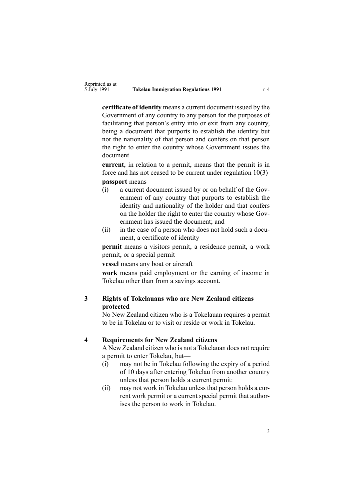<span id="page-2-0"></span>**certificate of identity** means <sup>a</sup> current document issued by the Government of any country to any person for the purposes of facilitating that person's entry into or exit from any country, being <sup>a</sup> document that purports to establish the identity but not the nationality of that person and confers on that person the right to enter the country whose Government issues the document

**current**, in relation to <sup>a</sup> permit, means that the permit is in force and has not ceased to be current under regulation [10\(3\)](#page-5-0)

**passport** means—

- (i) <sup>a</sup> current document issued by or on behalf of the Government of any country that purports to establish the identity and nationality of the holder and that confers on the holder the right to enter the country whose Government has issued the document; and
- (ii) in the case of <sup>a</sup> person who does not hold such <sup>a</sup> document, <sup>a</sup> certificate of identity

**permit** means <sup>a</sup> visitors permit, <sup>a</sup> residence permit, <sup>a</sup> work permit, or <sup>a</sup> special permit

**vessel** means any boat or aircraft

**work** means paid employment or the earning of income in Tokelau other than from <sup>a</sup> savings account.

# **3 Rights of Tokelauans who are New Zealand citizens protected**

No New Zealand citizen who is <sup>a</sup> Tokelauan requires <sup>a</sup> permit to be in Tokelau or to visit or reside or work in Tokelau.

#### **4 Requirements for New Zealand citizens**

A New Zealand citizen who is not <sup>a</sup> Tokelauan does not require <sup>a</sup> permit to enter Tokelau, but—

- (i) may not be in Tokelau following the expiry of <sup>a</sup> period of 10 days after entering Tokelau from another country unless that person holds <sup>a</sup> current permit:
- (ii) may not work in Tokelau unless that person holds <sup>a</sup> current work permit or <sup>a</sup> current special permit that authorises the person to work in Tokelau.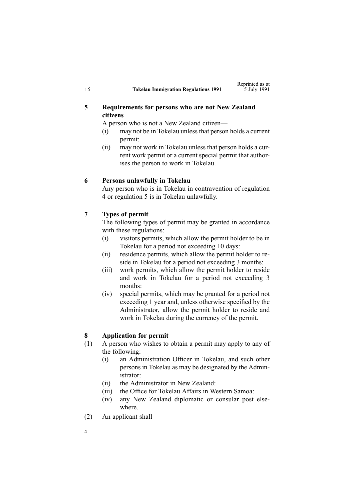# <span id="page-3-0"></span>**5 Requirements for persons who are not New Zealand citizens**

A person who is not <sup>a</sup> New Zealand citizen—

- (i) may not be in Tokelau unless that person holds <sup>a</sup> current permit:
- (ii) may not work in Tokelau unless that person holds <sup>a</sup> current work permit or <sup>a</sup> current special permit that authorises the person to work in Tokelau.

### **6 Persons unlawfully in Tokelau**

Any person who is in Tokelau in contravention of regu[lation](#page-2-0) [4](#page-2-0) or regulation 5 is in Tokelau unlawfully.

### **7 Types of permit**

The following types of permit may be granted in accordance with these regulations:

- (i) visitors permits, which allow the permit holder to be in Tokelau for <sup>a</sup> period not exceeding 10 days:
- (ii) residence permits, which allow the permit holder to reside in Tokelau for <sup>a</sup> period not exceeding 3 months:
- (iii) work permits, which allow the permit holder to reside and work in Tokelau for <sup>a</sup> period not exceeding 3 months:
- (iv) special permits, which may be granted for <sup>a</sup> period not exceeding 1 year and, unless otherwise specified by the Administrator, allow the permit holder to reside and work in Tokelau during the currency of the permit.

### **8 Application for permit**

- (1) A person who wishes to obtain <sup>a</sup> permit may apply to any of the following:
	- (i) an Administration Officer in Tokelau, and such other persons in Tokelau as may be designated by the Administrator:
	- (ii) the Administrator in New Zealand:
	- (iii) the Office for Tokelau Affairs in Western Samoa:
	- (iv) any New Zealand diplomatic or consular pos<sup>t</sup> elsewhere.
- (2) An applicant shall—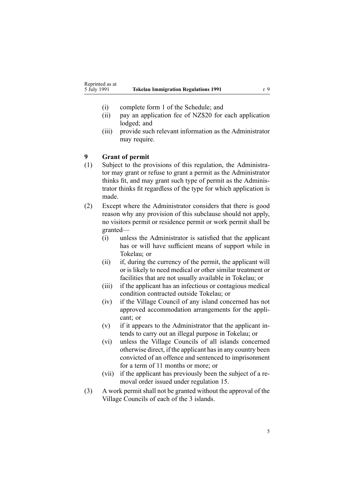- <span id="page-4-0"></span>(i) complete [form](#page-12-0) 1 of the Schedule; and
- (ii) pay an application fee of NZ\$20 for each application lodged; and
- (iii) provide such relevant information as the Administrator may require.

### **9 Grant of permit**

- (1) Subject to the provisions of this regulation, the Administrator may gran<sup>t</sup> or refuse to gran<sup>t</sup> <sup>a</sup> permit as the Administrator thinks fit, and may gran<sup>t</sup> such type of permit as the Administrator thinks fit regardless of the type for which application is made.
- (2) Except where the Administrator considers that there is good reason why any provision of this subclause should not apply, no visitors permit or residence permit or work permit shall be granted—
	- (i) unless the Administrator is satisfied that the applicant has or will have sufficient means of suppor<sup>t</sup> while in Tokelau; or
	- (ii) if, during the currency of the permit, the applicant will or is likely to need medical or other similar treatment or facilities that are not usually available in Tokelau; or
	- (iii) if the applicant has an infectious or contagious medical condition contracted outside Tokelau; or
	- (iv) if the Village Council of any island concerned has not approved accommodation arrangements for the applicant; or
	- (v) if it appears to the Administrator that the applicant intends to carry out an illegal purpose in Tokelau; or
	- (vi) unless the Village Councils of all islands concerned otherwise direct, if the applicant has in any country been convicted of an offence and sentenced to imprisonment for <sup>a</sup> term of 11 months or more; or
	- (vii) if the applicant has previously been the subject of <sup>a</sup> removal order issued under regu[lation](#page-7-0) 15.
- (3) A work permit shall not be granted without the approval of the Village Councils of each of the 3 islands.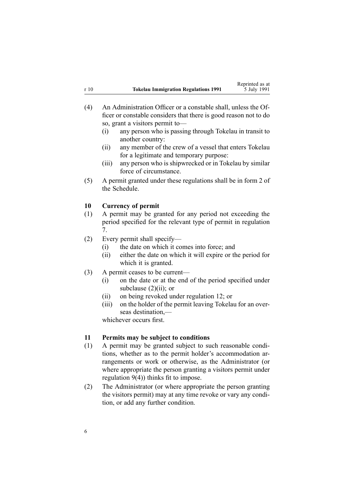<span id="page-5-0"></span>

|      |                                             | Reprinted as at |
|------|---------------------------------------------|-----------------|
| r 10 | <b>Tokelau Immigration Regulations 1991</b> | 5 July 1991     |

Reprinted as at

- (4) An Administration Officer or <sup>a</sup> constable shall, unless the Officer or constable considers that there is good reason not to do so, gran<sup>t</sup> <sup>a</sup> visitors permit to—
	- (i) any person who is passing through Tokelau in transit to another country:
	- (ii) any member of the crew of <sup>a</sup> vessel that enters Tokelau for <sup>a</sup> legitimate and temporary purpose:
	- (iii) any person who is shipwrecked or in Tokelau by similar force of circumstance.
- (5) A permit granted under these regulations shall be in [form](#page-16-0) 2 of the Schedule.

# **10 Currency of permit**

- (1) A permit may be granted for any period not exceeding the period specified for the relevant type of permit in regu[lation](#page-3-0) [7](#page-3-0).
- (2) Every permit shall specify—
	- (i) the date on which it comes into force; and
	- (ii) either the date on which it will expire or the period for which it is granted.
- (3) A permit ceases to be current—
	- (i) on the date or at the end of the period specified under subclause  $(2)(ii)$ ; or
	- (ii) on being revoked under regu[lation](#page-6-0) 12; or
	- (iii) on the holder of the permit leaving Tokelau for an overseas destination,—

whichever occurs first.

### **11 Permits may be subject to conditions**

- (1) A permit may be granted subject to such reasonable conditions, whether as to the permit holder's accommodation arrangements or work or otherwise, as the Administrator (or where appropriate the person granting <sup>a</sup> visitors permit under regu[lation](#page-4-0) 9(4)) thinks fit to impose.
- (2) The Administrator (or where appropriate the person granting the visitors permit) may at any time revoke or vary any condition, or add any further condition.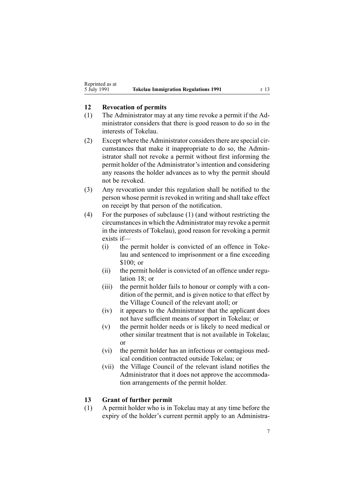### <span id="page-6-0"></span>**12 Revocation of permits**

- (1) The Administrator may at any time revoke <sup>a</sup> permit if the Administrator considers that there is good reason to do so in the interests of Tokelau.
- $(2)$  Except where the Administrator considers there are special circumstances that make it inappropriate to do so, the Administrator shall not revoke <sup>a</sup> permit without first informing the permit holder of the Administrator's intention and considering any reasons the holder advances as to why the permit should not be revoked.
- (3) Any revocation under this regulation shall be notified to the person whose permit is revoked in writing and shall take effect on receipt by that person of the notification.
- (4) For the purposes of subclause (1) (and without restricting the circumstancesin which the Administrator may revoke <sup>a</sup> permit in the interests of Tokelau), good reason for revoking <sup>a</sup> permit exists if—
	- (i) the permit holder is convicted of an offence in Tokelau and sentenced to imprisonment or <sup>a</sup> fine exceeding \$100; or
	- (ii) the permit holder is convicted of an offence under [regu](#page-9-0)[lation](#page-9-0) 18; or
	- (iii) the permit holder fails to honour or comply with <sup>a</sup> condition of the permit, and is given notice to that effect by the Village Council of the relevant atoll; or
	- (iv) it appears to the Administrator that the applicant does not have sufficient means of suppor<sup>t</sup> in Tokelau; or
	- (v) the permit holder needs or is likely to need medical or other similar treatment that is not available in Tokelau; or
	- (vi) the permit holder has an infectious or contagious medical condition contracted outside Tokelau; or
	- (vii) the Village Council of the relevant island notifies the Administrator that it does not approve the accommodation arrangements of the permit holder.

### **13 Grant of further permit**

(1) A permit holder who is in Tokelau may at any time before the expiry of the holder's current permit apply to an Administra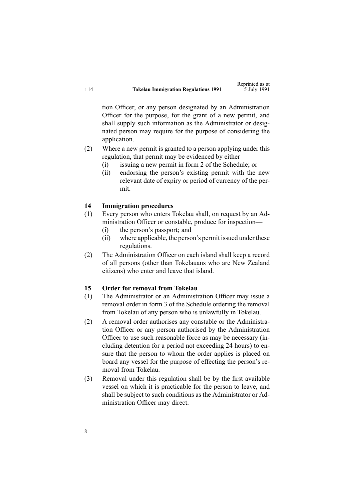<span id="page-7-0"></span>tion Officer, or any person designated by an Administration Officer for the purpose, for the gran<sup>t</sup> of <sup>a</sup> new permit, and shall supply such information as the Administrator or designated person may require for the purpose of considering the application.

- (2) Where <sup>a</sup> new permit is granted to <sup>a</sup> person applying under this regulation, that permit may be evidenced by either—
	- (i) issuing <sup>a</sup> new permit in [form](#page-16-0) 2 of the Schedule; or
	- (ii) endorsing the person's existing permit with the new relevant date of expiry or period of currency of the permit.

# **14 Immigration procedures**

- (1) Every person who enters Tokelau shall, on reques<sup>t</sup> by an Administration Officer or constable, produce for inspection—
	- (i) the person's passport; and
	- (ii) where applicable, the person's permit issued under these regulations.
- (2) The Administration Officer on each island shall keep <sup>a</sup> record of all persons (other than Tokelauans who are New Zealand citizens) who enter and leave that island.

### **15 Order for removal from Tokelau**

- (1) The Administrator or an Administration Officer may issue <sup>a</sup> removal order in [form](#page-18-0) 3 of the Schedule ordering the removal from Tokelau of any person who is unlawfully in Tokelau.
- (2) A removal order authorises any constable or the Administration Officer or any person authorised by the Administration Officer to use such reasonable force as may be necessary (including detention for <sup>a</sup> period not exceeding 24 hours) to ensure that the person to whom the order applies is placed on board any vessel for the purpose of effecting the person's removal from Tokelau.
- (3) Removal under this regulation shall be by the first available vessel on which it is practicable for the person to leave, and shall be subject to such conditions as the Administrator or Administration Officer may direct.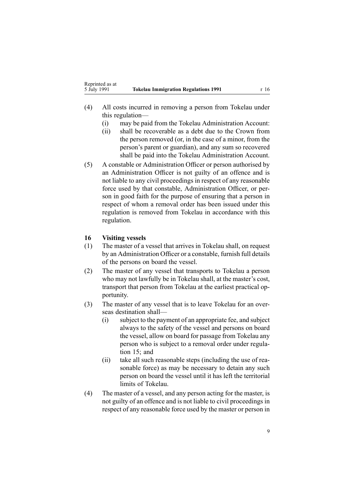- <span id="page-8-0"></span>(4) All costs incurred in removing <sup>a</sup> person from Tokelau under this regulation—
	- (i) may be paid from the Tokelau Administration Account:
	- (ii) shall be recoverable as <sup>a</sup> debt due to the Crown from the person removed (or, in the case of <sup>a</sup> minor, from the person's paren<sup>t</sup> or guardian), and any sum so recovered shall be paid into the Tokelau Administration Account.
- (5) A constable or Administration Officer or person authorised by an Administration Officer is not guilty of an offence and is not liable to any civil proceedings in respec<sup>t</sup> of any reasonable force used by that constable, Administration Officer, or person in good faith for the purpose of ensuring that <sup>a</sup> person in respec<sup>t</sup> of whom <sup>a</sup> removal order has been issued under this regulation is removed from Tokelau in accordance with this regulation.

# **16 Visiting vessels**

- (1) The master of <sup>a</sup> vessel that arrives in Tokelau shall, on reques<sup>t</sup> by an Administration Officer or <sup>a</sup> constable, furnish full details of the persons on board the vessel.
- (2) The master of any vessel that transports to Tokelau <sup>a</sup> person who may not lawfully be in Tokelau shall, at the master's cost, transport that person from Tokelau at the earliest practical opportunity.
- (3) The master of any vessel that is to leave Tokelau for an overseas destination shall—
	- (i) subject to the paymen<sup>t</sup> of an appropriate fee, and subject always to the safety of the vessel and persons on board the vessel, allow on board for passage from Tokelau any person who is subject to <sup>a</sup> removal order under [regu](#page-7-0)la[tion](#page-7-0) 15; and
	- (ii) take all such reasonable steps (including the use of reasonable force) as may be necessary to detain any such person on board the vessel until it has left the territorial limits of Tokelau.
- (4) The master of <sup>a</sup> vessel, and any person acting for the master, is not guilty of an offence and is not liable to civil proceedings in respec<sup>t</sup> of any reasonable force used by the master or person in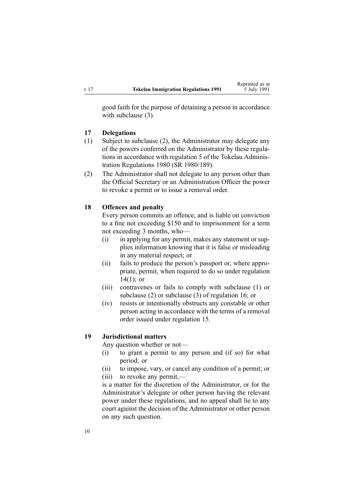<span id="page-9-0"></span>good faith for the purpose of detaining <sup>a</sup> person in accordance with subclause (3).

### **17 Delegations**

- (1) Subject to subclause (2), the Administrator may delegate any of the powers conferred on the Administrator by these regulations in accordance with regulation 5 of the Tokelau Administration Regulations 1980 (SR 1980/189).
- (2) The Administrator shall not delegate to any person other than the Official Secretary or an Administration Officer the power to revoke <sup>a</sup> permit or to issue <sup>a</sup> removal order.

### **18 Offences and penalty**

Every person commits an offence, and is liable on conviction to <sup>a</sup> fine not exceeding \$150 and to imprisonment for <sup>a</sup> term not exceeding 3 months, who—

- (i) in applying for any permit, makes any statement or supplies information knowing that it is false or misleading in any material respect; or
- (ii) fails to produce the person's passpor<sup>t</sup> or, where appropriate, permit, when required to do so under regu[lation](#page-7-0)  $14(1)$ ; or
- (iii) contravenes or fails to comply with subclause (1) or subclause (2) or subclause (3) of regu[lation](#page-8-0) 16; or
- (iv) resists or intentionally obstructs any constable or other person acting in accordance with the terms of <sup>a</sup> removal order issued under regu[lation](#page-7-0) 15.

### **19 Jurisdictional matters**

Any question whether or not—

- (i) to gran<sup>t</sup> <sup>a</sup> permit to any person and (if so) for what period; or
- (ii) to impose, vary, or cancel any condition of <sup>a</sup> permit; or
- (iii) to revoke any permit,—

is <sup>a</sup> matter for the discretion of the Administrator, or for the Administrator's delegate or other person having the relevant power under these regulations, and no appeal shall lie to any court against the decision of the Administrator or other person on any such question.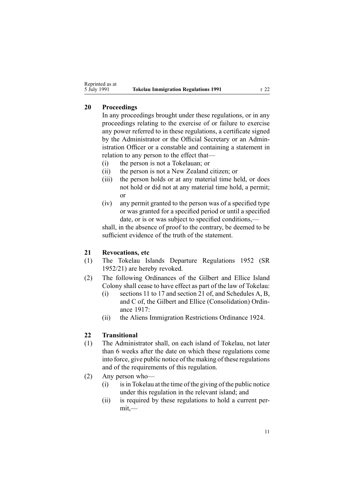# <span id="page-10-0"></span>**20 Proceedings**

In any proceedings brought under these regulations, or in any proceedings relating to the exercise of or failure to exercise any power referred to in these regulations, <sup>a</sup> certificate signed by the Administrator or the Official Secretary or an Administration Officer or <sup>a</sup> constable and containing <sup>a</sup> statement in relation to any person to the effect that—

- (i) the person is not <sup>a</sup> Tokelauan; or
- (ii) the person is not <sup>a</sup> New Zealand citizen; or
- (iii) the person holds or at any material time held, or does not hold or did not at any material time hold, <sup>a</sup> permit; or
- (iv) any permit granted to the person was of <sup>a</sup> specified type or was granted for <sup>a</sup> specified period or until <sup>a</sup> specified date, or is or was subject to specified conditions,—

shall, in the absence of proof to the contrary, be deemed to be sufficient evidence of the truth of the statement.

# **21 Revocations, etc**

- (1) The Tokelau Islands Departure Regulations 1952 (SR 1952/21) are hereby revoked.
- (2) The following Ordinances of the Gilbert and Ellice Island Colony shall cease to have effect as par<sup>t</sup> of the law of Tokelau:
	- (i) sections 11 to 17 and section 21 of, and Schedules A, B, and C of, the Gilbert and Ellice (Consolidation) Ordinance 1917:
	- (ii) the Aliens Immigration Restrictions Ordinance 1924.

### **22 Transitional**

- (1) The Administrator shall, on each island of Tokelau, not later than 6 weeks after the date on which these regulations come into force, give public notice of the making of these regulations and of the requirements of this regulation.
- (2) Any person who—
	- $(i)$  is in Tokelau at the time of the giving of the public notice under this regulation in the relevant island; and
	- (ii) is required by these regulations to hold <sup>a</sup> current permit,—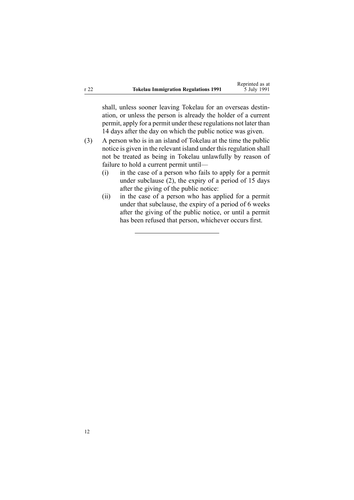|      |                                             | Reprinted as at |
|------|---------------------------------------------|-----------------|
| r 22 | <b>Tokelau Immigration Regulations 1991</b> | 5 July 1991     |

shall, unless sooner leaving Tokelau for an overseas destination, or unless the person is already the holder of <sup>a</sup> current permit, apply for <sup>a</sup> permit under these regulations not later than 14 days after the day on which the public notice was given.

- (3) A person who is in an island of Tokelau at the time the public notice is given in the relevant island under this regulation shall not be treated as being in Tokelau unlawfully by reason of failure to hold <sup>a</sup> current permit until—
	- (i) in the case of <sup>a</sup> person who fails to apply for <sup>a</sup> permit under subclause (2), the expiry of <sup>a</sup> period of 15 days after the giving of the public notice:
	- (ii) in the case of <sup>a</sup> person who has applied for <sup>a</sup> permit under that subclause, the expiry of <sup>a</sup> period of 6 weeks after the giving of the public notice, or until <sup>a</sup> permit has been refused that person, whichever occurs first.

12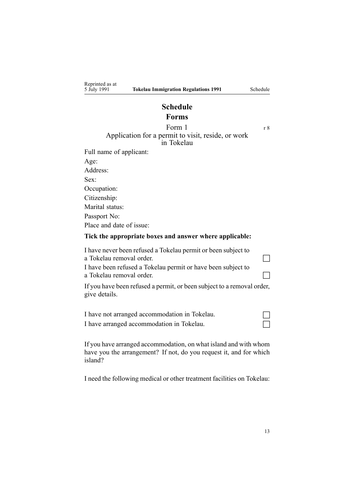# **Schedule Forms**

# <span id="page-12-0"></span>Form  $1 \t r 8$  $1 \t r 8$ Application for <sup>a</sup> permit to visit, reside, or work in Tokelau

| Full name of applicant:  |
|--------------------------|
| Age:                     |
| Address:                 |
| Sex                      |
| Occupation:              |
| Citizenship:             |
| Marital status:          |
| Passport No:             |
| Place and date of issue: |
|                          |

### **Tick the appropriate boxes and answer where applicable:**

| I have never been refused a Tokelau permit or been subject to<br>a Tokelau removal order.  |  |
|--------------------------------------------------------------------------------------------|--|
| I have been refused a Tokelau permit or have been subject to<br>a Tokelau removal order.   |  |
| If you have been refused a permit, or been subject to a removal order,<br>give details.    |  |
| I have not arranged accommodation in Tokelau.<br>I have arranged accommodation in Tokelau. |  |

If you have arranged accommodation, on what island and with whom have you the arrangement? If not, do you reques<sup>t</sup> it, and for which island?

I need the following medical or other treatment facilities on Tokelau: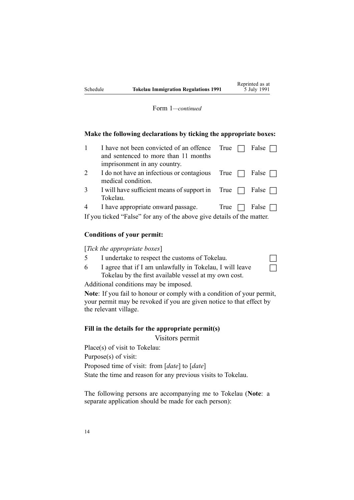$\Box$ 

Form 1*—continued*

### **Make the following declarations by ticking the appropriate boxes:**

|   | I have not been convicted of an offence True<br>and sentenced to more than 11 months<br>imprisonment in any country. |      | False        |
|---|----------------------------------------------------------------------------------------------------------------------|------|--------------|
|   | I do not have an infectious or contagious True $\Box$<br>medical condition.                                          |      | False $\Box$ |
| 3 | I will have sufficient means of support in True $\Box$ False $\Box$<br>Tokelau.                                      |      |              |
|   | I have appropriate onward passage.                                                                                   | True | False $\Box$ |
|   | $\mathbf{a}$ and $\mathbf{a}$ and $\mathbf{a}$ and $\mathbf{a}$                                                      |      |              |

If you ticked "False" for any of the above give details of the matter.

### **Conditions of your permit:**

[*Tick the appropriate boxes*]

- 5 I undertake to respect the customs of Tokelau.
- 6 I agree that if I am unlawfully in Tokelau, I will leave Tokelau by the first available vessel at my own cost.

Additional conditions may be imposed.

**Note**: If you fail to honour or comply with <sup>a</sup> condition of your permit, your permit may be revoked if you are given notice to that effect by the relevant village.

### **Fill in the details for the appropriate permit(s)**

Visitors permit

Place(s) of visit to Tokelau: Purpose(s) of visit: Proposed time of visit: from [*date*] to [*date*] State the time and reason for any previous visits to Tokelau.

The following persons are accompanying me to Tokelau (**Note**: <sup>a</sup> separate application should be made for each person):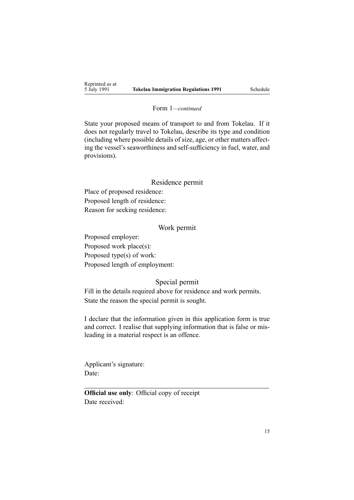#### Form 1*—continued*

State your proposed means of transport to and from Tokelau. If it does not regularly travel to Tokelau, describe its type and condition (including where possible details of size, age, or other matters affecting the vessel's seaworthiness and self-sufficiency in fuel, water, and provisions).

### Residence permit

Place of proposed residence: Proposed length of residence: Reason for seeking residence:

### Work permit

Proposed employer: Proposed work place(s): Proposed type(s) of work: Proposed length of employment:

# Special permit

Fill in the details required above for residence and work permits. State the reason the special permit is sought.

I declare that the information given in this application form is true and correct. I realise that supplying information that is false or misleading in <sup>a</sup> material respec<sup>t</sup> is an offence.

Applicant's signature: Date:

**Official use only**: Official copy of receipt Date received: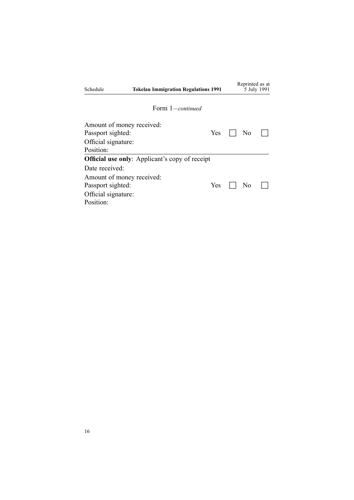| Schedule                  | <b>Tokelau Immigration Regulations 1991</b>           |     | Reprinted as at | 5 July 1991 |
|---------------------------|-------------------------------------------------------|-----|-----------------|-------------|
|                           | Form 1—continued                                      |     |                 |             |
| Amount of money received: |                                                       |     |                 |             |
| Passport sighted:         |                                                       | Yes | N <sub>0</sub>  |             |
| Official signature:       |                                                       |     |                 |             |
| Position:                 |                                                       |     |                 |             |
|                           | <b>Official use only:</b> Applicant's copy of receipt |     |                 |             |
| Date received:            |                                                       |     |                 |             |
| Amount of money received: |                                                       |     |                 |             |
| Passport sighted:         |                                                       | Yes | No              |             |
| Official signature:       |                                                       |     |                 |             |
| Position:                 |                                                       |     |                 |             |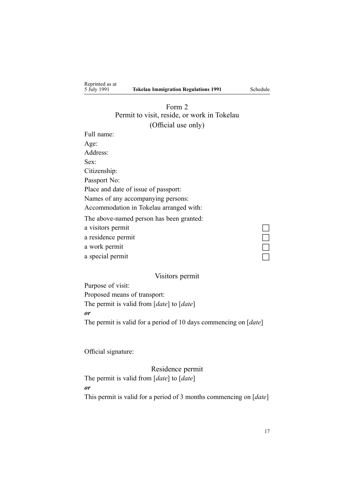<span id="page-16-0"></span>Reprinted as at<br>5 July 1991

# Form 2 Permit to visit, reside, or work in Tokelau (Official use only)

Full name: Age: Address: Sex: Citizenship: Passport No: Place and date of issue of passport: Names of any accompanying persons: Accommodation in Tokelau arranged with: The above-named person has been granted: a visitors permit a residence permit a work permit a special permit

### Visitors permit

Purpose of visit: Proposed means of transport: The permit is valid from [*date*] to [*date*] *or* The permit is valid for <sup>a</sup> period of 10 days commencing on [*date*]

Official signature:

Residence permit The permit is valid from [*date*] to [*date*] *or*

This permit is valid for <sup>a</sup> period of 3 months commencing on [*date*]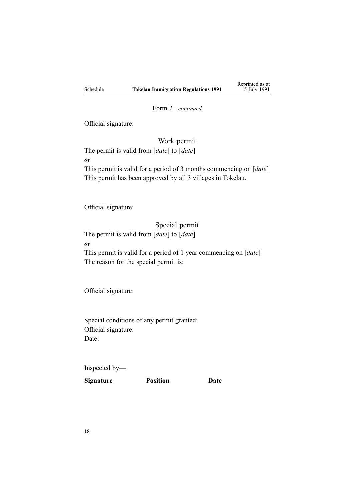Reprinted as at 5 July 1991

Form 2*—continued*

Official signature:

Work permit

The permit is valid from [*date*] to [*date*] *or* This permit is valid for <sup>a</sup> period of 3 months commencing on [*date*] This permit has been approved by all 3 villages in Tokelau.

Official signature:

### Special permit

The permit is valid from [*date*] to [*date*]

*or*

This permit is valid for <sup>a</sup> period of 1 year commencing on [*date*] The reason for the special permit is:

Official signature:

Special conditions of any permit granted: Official signature: Date:

Inspected by—

**Signature Position Date**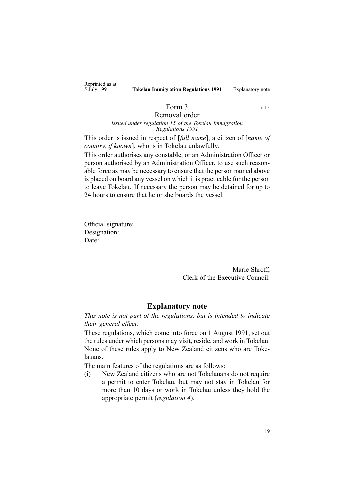<span id="page-18-0"></span>

| Reprinted as at |                         |
|-----------------|-------------------------|
| 5 July 1991     | <b>Tokelau Immigrat</b> |

# Form  $3 \t\t r15$  $3 \t\t r15$

#### Removal order *Issued under regu[lation](#page-7-0) 15 of the Tokelau Immigration Regulations 1991*

This order is issued in respec<sup>t</sup> of [*full name*], <sup>a</sup> citizen of [*name of country, if known*], who is in Tokelau unlawfully.

This order authorises any constable, or an Administration Officer or person authorised by an Administration Officer, to use such reasonable force as may be necessary to ensure that the person named above is placed on board any vessel on which it is practicable for the person to leave Tokelau. If necessary the person may be detained for up to 24 hours to ensure that he or she boards the vessel.

Official signature: Designation: Date:

> Marie Shroff, Clerk of the Executive Council.

### **Explanatory note**

*This note is not par<sup>t</sup> of the regulations, but is intended to indicate their general effect.*

These regulations, which come into force on 1 August 1991, set out the rules under which persons may visit, reside, and work in Tokelau. None of these rules apply to New Zealand citizens who are Tokelauans.

The main features of the regulations are as follows:

(i) New Zealand citizens who are not Tokelauans do not require <sup>a</sup> permit to enter Tokelau, but may not stay in Tokelau for more than 10 days or work in Tokelau unless they hold the appropriate permit (*regu[lation](#page-2-0) 4*).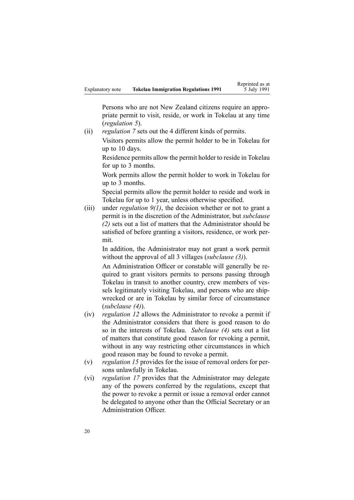Persons who are not New Zealand citizens require an appropriate permit to visit, reside, or work in Tokelau at any time (*regu[lation](#page-3-0) 5*).

(ii) *regu[lation](#page-3-0) 7* sets out the 4 different kinds of permits. Visitors permits allow the permit holder to be in Tokelau for up to 10 days.

Residence permits allow the permit holder to reside in Tokelau for up to 3 months.

Work permits allow the permit holder to work in Tokelau for up to 3 months.

Special permits allow the permit holder to reside and work in Tokelau for up to 1 year, unless otherwise specified.

(iii) under *regu[lation](#page-4-0) 9(1)*, the decision whether or not to gran<sup>t</sup> <sup>a</sup> permit is in the discretion of the Administrator, but *subclause (2)* sets out <sup>a</sup> list of matters that the Administrator should be satisfied of before granting <sup>a</sup> visitors, residence, or work permit.

In addition, the Administrator may not gran<sup>t</sup> <sup>a</sup> work permit without the approval of all 3 villages (*subclause (3)*).

An Administration Officer or constable will generally be required to gran<sup>t</sup> visitors permits to persons passing through Tokelau in transit to another country, crew members of vessels legitimately visiting Tokelau, and persons who are shipwrecked or are in Tokelau by similar force of circumstance (*subclause (4)*).

- (iv) *regu[lation](#page-6-0) 12* allows the Administrator to revoke <sup>a</sup> permit if the Administrator considers that there is good reason to do so in the interests of Tokelau. *Subclause (4)* sets out <sup>a</sup> list of matters that constitute good reason for revoking <sup>a</sup> permit, without in any way restricting other circumstances in which good reason may be found to revoke <sup>a</sup> permit.
- (v) *regu[lation](#page-7-0) 15* provides for the issue of removal orders for persons unlawfully in Tokelau.
- (vi) *regu[lation](#page-9-0) 17* provides that the Administrator may delegate any of the powers conferred by the regulations, excep<sup>t</sup> that the power to revoke <sup>a</sup> permit or issue <sup>a</sup> removal order cannot be delegated to anyone other than the Official Secretary or an Administration Officer.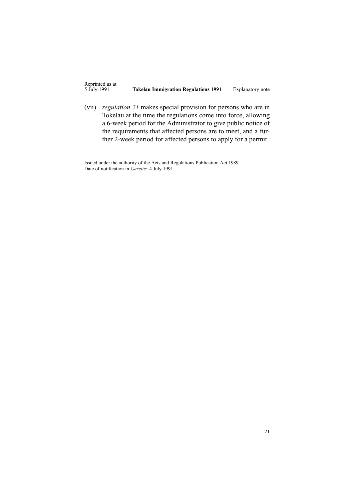(vii) *regu[lation](#page-10-0) 21* makes special provision for persons who are in Tokelau at the time the regulations come into force, allowing <sup>a</sup> 6-week period for the Administrator to give public notice of the requirements that affected persons are to meet, and <sup>a</sup> further 2-week period for affected persons to apply for <sup>a</sup> permit.

Issued under the authority of the Acts and [Regulations](http://www.legislation.govt.nz/pdflink.aspx?id=DLM195097) Publication Act 1989. Date of notification in *Gazette*: 4 July 1991.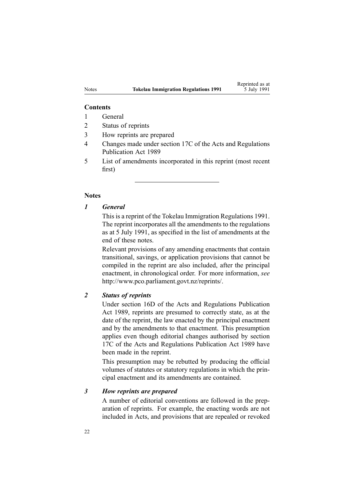### **Contents**

- 1 General
- 2 Status of reprints
- 3 How reprints are prepared
- 4 Changes made under section 17C of the Acts and Regulations Publication Act 1989
- 5 List of amendments incorporated in this reprint (most recent first)

### **Notes**

### *1 General*

This is <sup>a</sup> reprint of the Tokelau Immigration Regulations 1991. The reprint incorporates all the amendments to the regulations as at 5 July 1991, as specified in the list of amendments at the end of these notes.

Relevant provisions of any amending enactments that contain transitional, savings, or application provisions that cannot be compiled in the reprint are also included, after the principal enactment, in chronological order. For more information, *see* <http://www.pco.parliament.govt.nz/reprints/>.

# *2 Status of reprints*

Under [section](http://www.legislation.govt.nz/pdflink.aspx?id=DLM195439) 16D of the Acts and Regulations Publication Act 1989, reprints are presumed to correctly state, as at the date of the reprint, the law enacted by the principal enactment and by the amendments to that enactment. This presumption applies even though editorial changes authorised by [section](http://www.legislation.govt.nz/pdflink.aspx?id=DLM195466) [17C](http://www.legislation.govt.nz/pdflink.aspx?id=DLM195466) of the Acts and Regulations Publication Act 1989 have been made in the reprint.

This presumption may be rebutted by producing the official volumes of statutes or statutory regulations in which the principal enactment and its amendments are contained.

### *3 How reprints are prepared*

A number of editorial conventions are followed in the preparation of reprints. For example, the enacting words are not included in Acts, and provisions that are repealed or revoked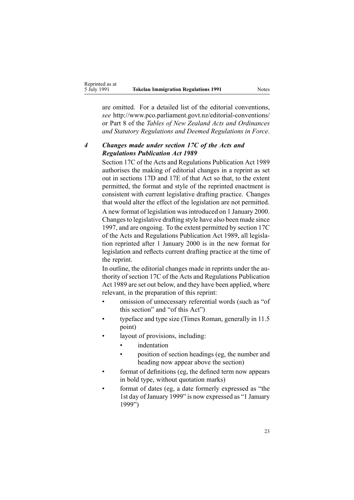are omitted. For <sup>a</sup> detailed list of the editorial conventions, *see* [http://www.pco.parliament.govt.nz/editorial-conventions/](http://www.pco.parliament.govt.nz/editorial-conventions/ ) or Part 8 of the *Tables of New Zealand Acts and Ordinances and Statutory Regulations and Deemed Regulations in Force*.

# *4 Changes made under section 17C of the Acts and Regulations Publication Act 1989*

[Section](http://www.legislation.govt.nz/pdflink.aspx?id=DLM195466) 17C of the Acts and Regulations Publication Act 1989 authorises the making of editorial changes in <sup>a</sup> reprint as set out in [sections](http://www.legislation.govt.nz/pdflink.aspx?id=DLM195468) 17D and [17E](http://www.legislation.govt.nz/pdflink.aspx?id=DLM195470) of that Act so that, to the extent permitted, the format and style of the reprinted enactment is consistent with current legislative drafting practice. Changes that would alter the effect of the legislation are not permitted.

A new format of legislation wasintroduced on 1 January 2000. Changesto legislative drafting style have also been made since 1997, and are ongoing. To the extent permitted by [section](http://www.legislation.govt.nz/pdflink.aspx?id=DLM195466) 17C of the Acts and Regulations Publication Act 1989, all legislation reprinted after 1 January 2000 is in the new format for legislation and reflects current drafting practice at the time of the reprint.

In outline, the editorial changes made in reprints under the authority of [section](http://www.legislation.govt.nz/pdflink.aspx?id=DLM195466) 17C of the Acts and Regulations Publication Act 1989 are set out below, and they have been applied, where relevant, in the preparation of this reprint:

- • omission of unnecessary referential words (such as "of this section" and "of this Act")
- • typeface and type size (Times Roman, generally in 11.5 point)
- • layout of provisions, including:
	- •indentation
	- • position of section headings (eg, the number and heading now appear above the section)
- • format of definitions (eg, the defined term now appears in bold type, without quotation marks)
- • format of dates (eg, <sup>a</sup> date formerly expressed as "the 1st day of January 1999" is now expressed as "1 January 1999")